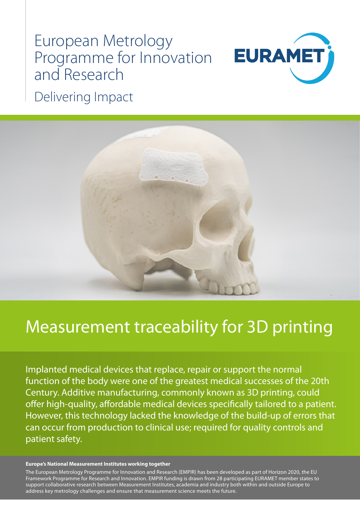# European Metrology Programme for Innovation and Research



Delivering Impact



## Measurement traceability for 3D printing

Implanted medical devices that replace, repair or support the normal function of the body were one of the greatest medical successes of the 20th Century. Additive manufacturing, commonly known as 3D printing, could offer high-quality, affordable medical devices specifically tailored to a patient. However, this technology lacked the knowledge of the build-up of errors that can occur from production to clinical use; required for quality controls and patient safety.

#### **Europe's National Measurement Institutes working together**

The European Metrology Programme for Innovation and Research (EMPIR) has been developed as part of Horizon 2020, the EU Framework Programme for Research and Innovation. EMPIR funding is drawn from 28 participating EURAMET member states to support collaborative research between Measurement Institutes, academia and industry both within and outside Europe to address key metrology challenges and ensure that measurement science meets the future.